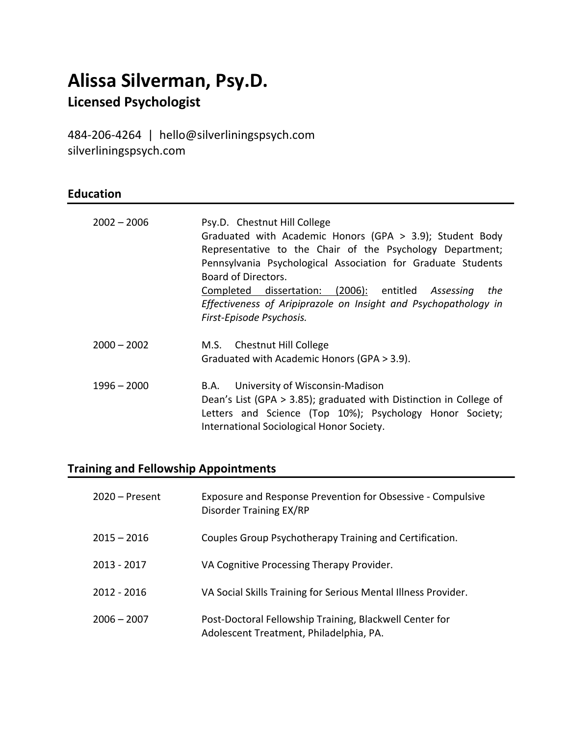# **Alissa Silverman, Psy.D.**

# **Licensed Psychologist**

484-206-4264|hello@silverliningspsych.com silverliningspsych.com

### **Education**

| $2002 - 2006$ | Psy.D. Chestnut Hill College<br>Graduated with Academic Honors (GPA > 3.9); Student Body<br>Representative to the Chair of the Psychology Department;<br>Pennsylvania Psychological Association for Graduate Students<br>Board of Directors.<br>Completed dissertation: (2006): entitled Assessing<br>the<br>Effectiveness of Aripiprazole on Insight and Psychopathology in |
|---------------|------------------------------------------------------------------------------------------------------------------------------------------------------------------------------------------------------------------------------------------------------------------------------------------------------------------------------------------------------------------------------|
| $2000 - 2002$ | First-Episode Psychosis.<br>M.S. Chestnut Hill College                                                                                                                                                                                                                                                                                                                       |
|               | Graduated with Academic Honors (GPA > 3.9).                                                                                                                                                                                                                                                                                                                                  |
| $1996 - 2000$ | University of Wisconsin-Madison<br>B.A.<br>Dean's List (GPA > 3.85); graduated with Distinction in College of<br>Letters and Science (Top 10%); Psychology Honor Society;<br>International Sociological Honor Society.                                                                                                                                                       |

# **Training and Fellowship Appointments**

| $2020 -$ Present | Exposure and Response Prevention for Obsessive - Compulsive<br>Disorder Training EX/RP             |
|------------------|----------------------------------------------------------------------------------------------------|
| $2015 - 2016$    | Couples Group Psychotherapy Training and Certification.                                            |
| 2013 - 2017      | VA Cognitive Processing Therapy Provider.                                                          |
| 2012 - 2016      | VA Social Skills Training for Serious Mental Illness Provider.                                     |
| $2006 - 2007$    | Post-Doctoral Fellowship Training, Blackwell Center for<br>Adolescent Treatment, Philadelphia, PA. |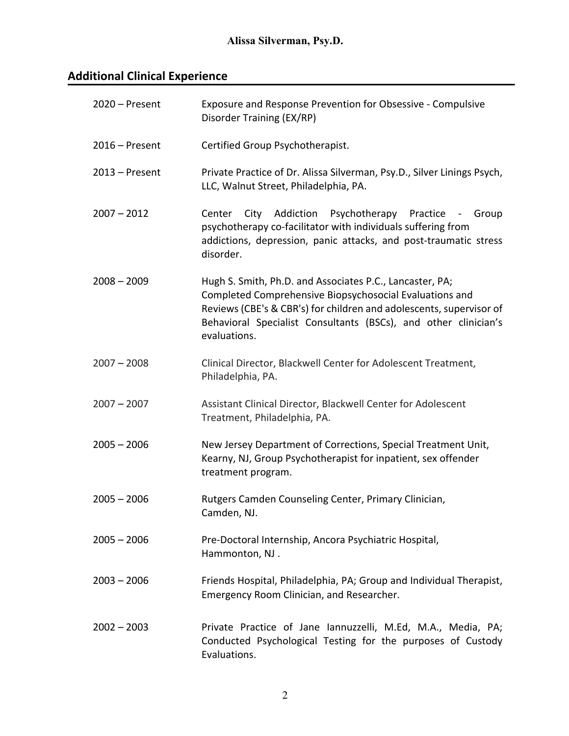# **Additional Clinical Experience**

| $2020$ – Present | Exposure and Response Prevention for Obsessive - Compulsive<br>Disorder Training (EX/RP)                                                                                                                                                                                      |
|------------------|-------------------------------------------------------------------------------------------------------------------------------------------------------------------------------------------------------------------------------------------------------------------------------|
| 2016 - Present   | Certified Group Psychotherapist.                                                                                                                                                                                                                                              |
| $2013 -$ Present | Private Practice of Dr. Alissa Silverman, Psy.D., Silver Linings Psych,<br>LLC, Walnut Street, Philadelphia, PA.                                                                                                                                                              |
| $2007 - 2012$    | Psychotherapy Practice<br>City<br>Addiction<br>Center<br>Group<br>$\sim$ $-$<br>psychotherapy co-facilitator with individuals suffering from<br>addictions, depression, panic attacks, and post-traumatic stress<br>disorder.                                                 |
| $2008 - 2009$    | Hugh S. Smith, Ph.D. and Associates P.C., Lancaster, PA;<br>Completed Comprehensive Biopsychosocial Evaluations and<br>Reviews (CBE's & CBR's) for children and adolescents, supervisor of<br>Behavioral Specialist Consultants (BSCs), and other clinician's<br>evaluations. |
| $2007 - 2008$    | Clinical Director, Blackwell Center for Adolescent Treatment,<br>Philadelphia, PA.                                                                                                                                                                                            |
| $2007 - 2007$    | Assistant Clinical Director, Blackwell Center for Adolescent<br>Treatment, Philadelphia, PA.                                                                                                                                                                                  |
| $2005 - 2006$    | New Jersey Department of Corrections, Special Treatment Unit,<br>Kearny, NJ, Group Psychotherapist for inpatient, sex offender<br>treatment program.                                                                                                                          |
| $2005 - 2006$    | Rutgers Camden Counseling Center, Primary Clinician,<br>Camden, NJ.                                                                                                                                                                                                           |
| $2005 - 2006$    | Pre-Doctoral Internship, Ancora Psychiatric Hospital,<br>Hammonton, NJ.                                                                                                                                                                                                       |
| $2003 - 2006$    | Friends Hospital, Philadelphia, PA; Group and Individual Therapist,<br>Emergency Room Clinician, and Researcher.                                                                                                                                                              |
| $2002 - 2003$    | Private Practice of Jane Iannuzzelli, M.Ed, M.A., Media, PA;<br>Conducted Psychological Testing for the purposes of Custody<br>Evaluations.                                                                                                                                   |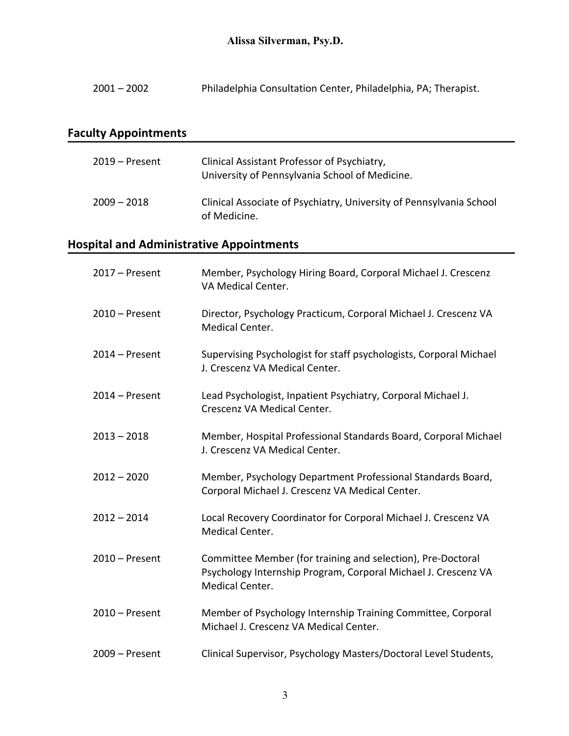2001 – 2002 Philadelphia Consultation Center, Philadelphia, PA; Therapist.

# **Faculty Appointments**

| $2019 -$ Present | Clinical Assistant Professor of Psychiatry,<br>University of Pennsylvania School of Medicine. |
|------------------|-----------------------------------------------------------------------------------------------|
| $2009 - 2018$    | Clinical Associate of Psychiatry, University of Pennsylvania School<br>of Medicine.           |

### **Hospital and Administrative Appointments**

| $2017 -$ Present | Member, Psychology Hiring Board, Corporal Michael J. Crescenz<br>VA Medical Center.                                                              |
|------------------|--------------------------------------------------------------------------------------------------------------------------------------------------|
| $2010 -$ Present | Director, Psychology Practicum, Corporal Michael J. Crescenz VA<br>Medical Center.                                                               |
| $2014 -$ Present | Supervising Psychologist for staff psychologists, Corporal Michael<br>J. Crescenz VA Medical Center.                                             |
| $2014 -$ Present | Lead Psychologist, Inpatient Psychiatry, Corporal Michael J.<br>Crescenz VA Medical Center.                                                      |
| $2013 - 2018$    | Member, Hospital Professional Standards Board, Corporal Michael<br>J. Crescenz VA Medical Center.                                                |
| $2012 - 2020$    | Member, Psychology Department Professional Standards Board,<br>Corporal Michael J. Crescenz VA Medical Center.                                   |
| $2012 - 2014$    | Local Recovery Coordinator for Corporal Michael J. Crescenz VA<br><b>Medical Center.</b>                                                         |
| $2010 -$ Present | Committee Member (for training and selection), Pre-Doctoral<br>Psychology Internship Program, Corporal Michael J. Crescenz VA<br>Medical Center. |
| $2010 -$ Present | Member of Psychology Internship Training Committee, Corporal<br>Michael J. Crescenz VA Medical Center.                                           |
| $2009 -$ Present | Clinical Supervisor, Psychology Masters/Doctoral Level Students,                                                                                 |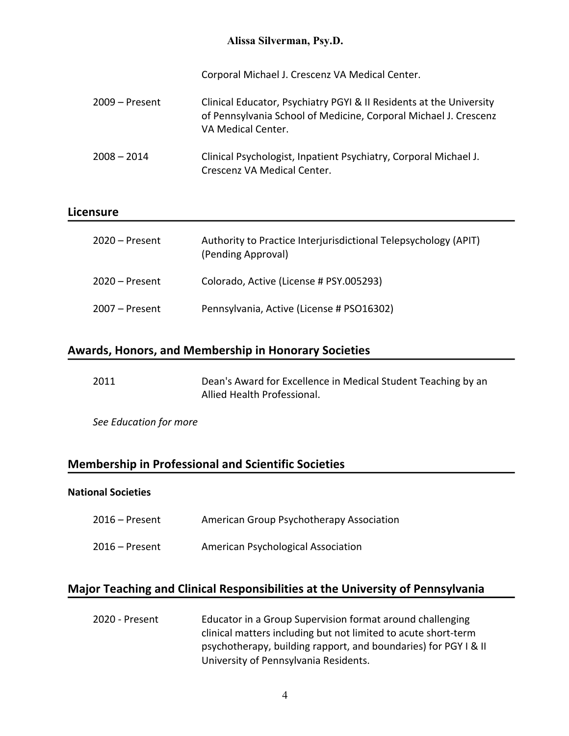#### **Alissa Silverman, Psy.D.**

Corporal Michael J. Crescenz VA Medical Center.

2009 – Present Clinical Educator, Psychiatry PGYI & II Residents at the University of Pennsylvania School of Medicine, Corporal Michael J. Crescenz VA Medical Center. 2008 – 2014 Clinical Psychologist, Inpatient Psychiatry, Corporal Michael J. Crescenz VA Medical Center.

#### **Licensure**

| $2020 -$ Present | Authority to Practice Interjurisdictional Telepsychology (APIT)<br>(Pending Approval) |
|------------------|---------------------------------------------------------------------------------------|
| $2020 -$ Present | Colorado, Active (License # PSY.005293)                                               |
| $2007 -$ Present | Pennsylvania, Active (License # PSO16302)                                             |

#### **Awards, Honors, and Membership in Honorary Societies**

| 2011 | Dean's Award for Excellence in Medical Student Teaching by an |
|------|---------------------------------------------------------------|
|      | Allied Health Professional.                                   |

*See Education for more*

#### **Membership in Professional and Scientific Societies**

#### **National Societies**

Ī

| $2016$ – Present | American Group Psychotherapy Association |
|------------------|------------------------------------------|
| $2016$ – Present | American Psychological Association       |

#### **Major Teaching and Clinical Responsibilities at the University of Pennsylvania**

2020 - Present Educator in a Group Supervision format around challenging clinical matters including but not limited to acute short-term psychotherapy, building rapport, and boundaries) for PGY I & II University of Pennsylvania Residents.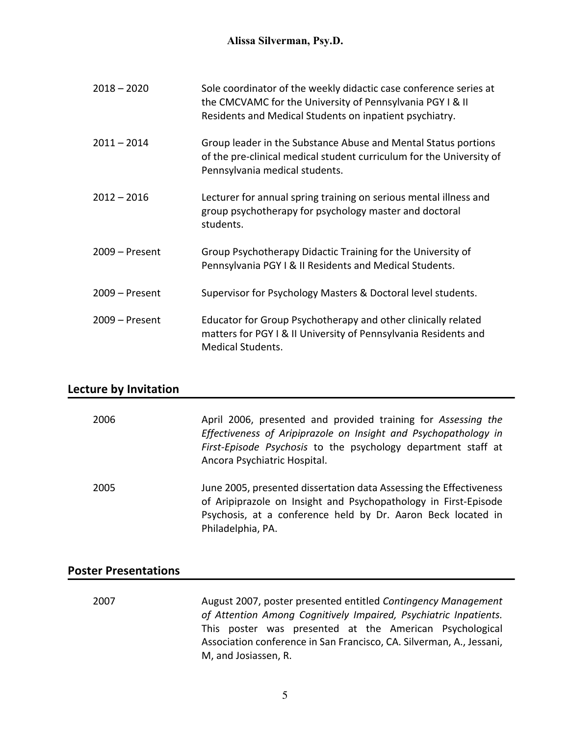| $2018 - 2020$    | Sole coordinator of the weekly didactic case conference series at<br>the CMCVAMC for the University of Pennsylvania PGY I & II<br>Residents and Medical Students on inpatient psychiatry. |
|------------------|-------------------------------------------------------------------------------------------------------------------------------------------------------------------------------------------|
| $2011 - 2014$    | Group leader in the Substance Abuse and Mental Status portions<br>of the pre-clinical medical student curriculum for the University of<br>Pennsylvania medical students.                  |
| $2012 - 2016$    | Lecturer for annual spring training on serious mental illness and<br>group psychotherapy for psychology master and doctoral<br>students.                                                  |
| $2009 -$ Present | Group Psychotherapy Didactic Training for the University of<br>Pennsylvania PGY I & II Residents and Medical Students.                                                                    |
| $2009 -$ Present | Supervisor for Psychology Masters & Doctoral level students.                                                                                                                              |
| $2009 -$ Present | Educator for Group Psychotherapy and other clinically related<br>matters for PGY I & II University of Pennsylvania Residents and<br><b>Medical Students.</b>                              |

#### **Lecture by Invitation**

| 2006 | April 2006, presented and provided training for Assessing the<br>Effectiveness of Aripiprazole on Insight and Psychopathology in<br>First-Episode Psychosis to the psychology department staff at<br>Ancora Psychiatric Hospital. |
|------|-----------------------------------------------------------------------------------------------------------------------------------------------------------------------------------------------------------------------------------|
| 2005 | June 2005, presented dissertation data Assessing the Effectiveness<br>of Aripiprazole on Insight and Psychopathology in First-Episode<br>Psychosis, at a conference held by Dr. Aaron Beck located in<br>Philadelphia, PA.        |

#### **Poster Presentations**

2007 August 2007, poster presented entitled *Contingency Management of Attention Among Cognitively Impaired, Psychiatric Inpatients.* This poster was presented at the American Psychological Association conference in San Francisco, CA. Silverman, A., Jessani, M, and Josiassen, R.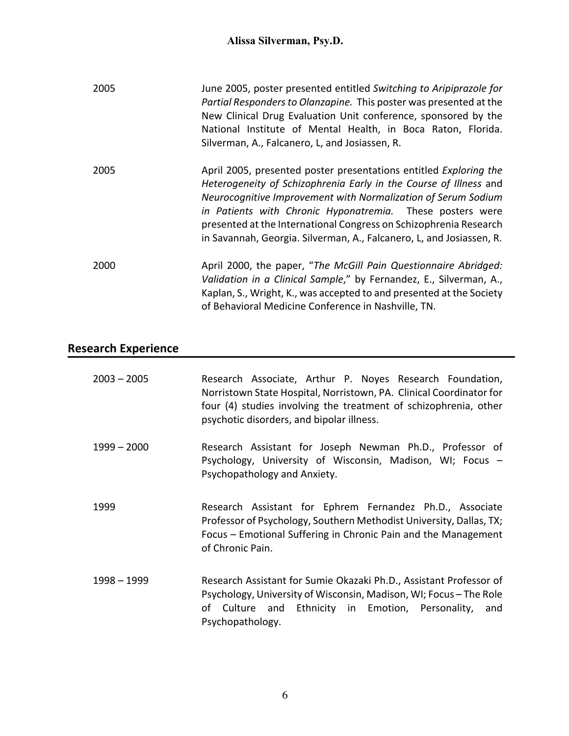### **Alissa Silverman, Psy.D.**

| 2005 | June 2005, poster presented entitled Switching to Aripiprazole for<br>Partial Responders to Olanzapine. This poster was presented at the<br>New Clinical Drug Evaluation Unit conference, sponsored by the<br>National Institute of Mental Health, in Boca Raton, Florida.<br>Silverman, A., Falcanero, L, and Josiassen, R.                                                                                      |
|------|-------------------------------------------------------------------------------------------------------------------------------------------------------------------------------------------------------------------------------------------------------------------------------------------------------------------------------------------------------------------------------------------------------------------|
| 2005 | April 2005, presented poster presentations entitled Exploring the<br>Heterogeneity of Schizophrenia Early in the Course of Illness and<br>Neurocognitive Improvement with Normalization of Serum Sodium<br>in Patients with Chronic Hyponatremia. These posters were<br>presented at the International Congress on Schizophrenia Research<br>in Savannah, Georgia. Silverman, A., Falcanero, L, and Josiassen, R. |
| 2000 | April 2000, the paper, "The McGill Pain Questionnaire Abridged:<br>Validation in a Clinical Sample," by Fernandez, E., Silverman, A.,<br>Kaplan, S., Wright, K., was accepted to and presented at the Society<br>of Behavioral Medicine Conference in Nashville, TN.                                                                                                                                              |

# **Research Experience**

| $2003 - 2005$ | Research Associate, Arthur P. Noyes Research Foundation,<br>Norristown State Hospital, Norristown, PA. Clinical Coordinator for<br>four (4) studies involving the treatment of schizophrenia, other<br>psychotic disorders, and bipolar illness. |
|---------------|--------------------------------------------------------------------------------------------------------------------------------------------------------------------------------------------------------------------------------------------------|
| $1999 - 2000$ | Research Assistant for Joseph Newman Ph.D., Professor of<br>Psychology, University of Wisconsin, Madison, WI; Focus -<br>Psychopathology and Anxiety.                                                                                            |
| 1999          | Research Assistant for Ephrem Fernandez Ph.D., Associate<br>Professor of Psychology, Southern Methodist University, Dallas, TX;<br>Focus – Emotional Suffering in Chronic Pain and the Management<br>of Chronic Pain.                            |
| $1998 - 1999$ | Research Assistant for Sumie Okazaki Ph.D., Assistant Professor of<br>Psychology, University of Wisconsin, Madison, WI; Focus – The Role<br>of Culture and Ethnicity in Emotion, Personality, and<br>Psychopathology.                            |